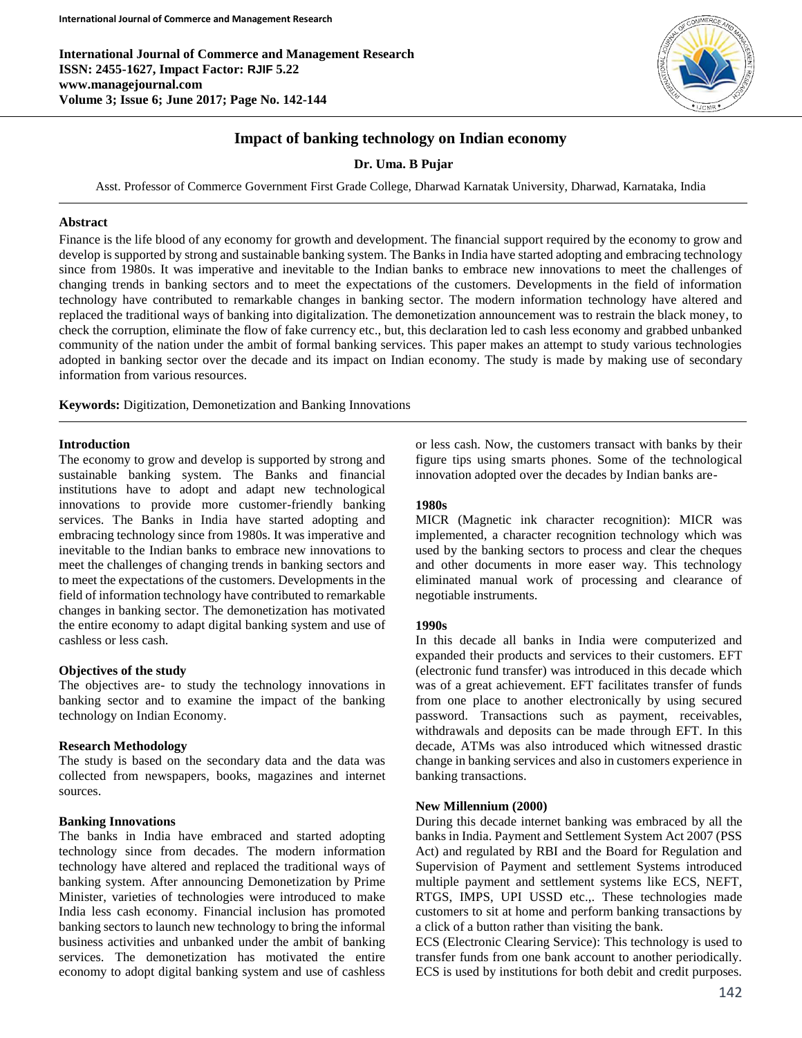**International Journal of Commerce and Management Research ISSN: 2455-1627, Impact Factor: RJIF 5.22 www.managejournal.com Volume 3; Issue 6; June 2017; Page No. 142-144**



# **Impact of banking technology on Indian economy**

**Dr. Uma. B Pujar**

Asst. Professor of Commerce Government First Grade College, Dharwad Karnatak University, Dharwad, Karnataka, India

#### **Abstract**

Finance is the life blood of any economy for growth and development. The financial support required by the economy to grow and develop is supported by strong and sustainable banking system. The Banks in India have started adopting and embracing technology since from 1980s. It was imperative and inevitable to the Indian banks to embrace new innovations to meet the challenges of changing trends in banking sectors and to meet the expectations of the customers. Developments in the field of information technology have contributed to remarkable changes in banking sector. The modern information technology have altered and replaced the traditional ways of banking into digitalization. The demonetization announcement was to restrain the black money, to check the corruption, eliminate the flow of fake currency etc., but, this declaration led to cash less economy and grabbed unbanked community of the nation under the ambit of formal banking services. This paper makes an attempt to study various technologies adopted in banking sector over the decade and its impact on Indian economy. The study is made by making use of secondary information from various resources.

**Keywords:** Digitization, Demonetization and Banking Innovations

#### **Introduction**

The economy to grow and develop is supported by strong and sustainable banking system. The Banks and financial institutions have to adopt and adapt new technological innovations to provide more customer-friendly banking services. The Banks in India have started adopting and embracing technology since from 1980s. It was imperative and inevitable to the Indian banks to embrace new innovations to meet the challenges of changing trends in banking sectors and to meet the expectations of the customers. Developments in the field of information technology have contributed to remarkable changes in banking sector. The demonetization has motivated the entire economy to adapt digital banking system and use of cashless or less cash.

### **Objectives of the study**

The objectives are- to study the technology innovations in banking sector and to examine the impact of the banking technology on Indian Economy.

#### **Research Methodology**

The study is based on the secondary data and the data was collected from newspapers, books, magazines and internet sources.

# **Banking Innovations**

The banks in India have embraced and started adopting technology since from decades. The modern information technology have altered and replaced the traditional ways of banking system. After announcing Demonetization by Prime Minister, varieties of technologies were introduced to make India less cash economy. Financial inclusion has promoted banking sectors to launch new technology to bring the informal business activities and unbanked under the ambit of banking services. The demonetization has motivated the entire economy to adopt digital banking system and use of cashless

or less cash. Now, the customers transact with banks by their figure tips using smarts phones. Some of the technological innovation adopted over the decades by Indian banks are-

### **1980s**

MICR (Magnetic ink character recognition): MICR was implemented, a character recognition technology which was used by the banking sectors to process and clear the cheques and other documents in more easer way. This technology eliminated manual work of processing and clearance of negotiable instruments.

### **1990s**

In this decade all banks in India were computerized and expanded their products and services to their customers. EFT (electronic fund transfer) was introduced in this decade which was of a great achievement. EFT facilitates transfer of funds from one place to another electronically by using secured password. Transactions such as payment, receivables, withdrawals and deposits can be made through EFT. In this decade, ATMs was also introduced which witnessed drastic change in banking services and also in customers experience in banking transactions.

#### **New Millennium (2000)**

During this decade internet banking was embraced by all the banks in India. Payment and Settlement System Act 2007 (PSS Act) and regulated by RBI and the Board for Regulation and Supervision of Payment and settlement Systems introduced multiple payment and settlement systems like ECS, NEFT, RTGS, IMPS, UPI USSD etc.,. These technologies made customers to sit at home and perform banking transactions by a click of a button rather than visiting the bank.

ECS (Electronic Clearing Service): This technology is used to transfer funds from one bank account to another periodically. ECS is used by institutions for both debit and credit purposes.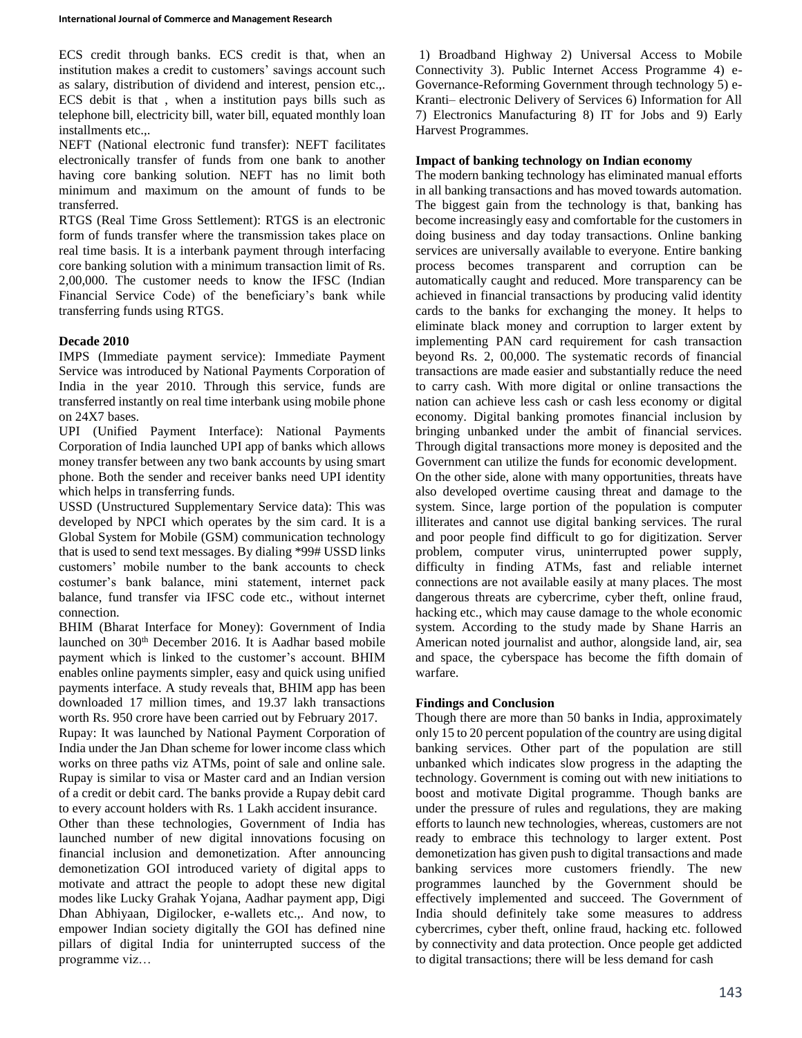ECS credit through banks. ECS credit is that, when an institution makes a credit to customers' savings account such as salary, distribution of dividend and interest, pension etc.,. ECS debit is that , when a institution pays bills such as telephone bill, electricity bill, water bill, equated monthly loan installments etc.,.

NEFT (National electronic fund transfer): NEFT facilitates electronically transfer of funds from one bank to another having core banking solution. NEFT has no limit both minimum and maximum on the amount of funds to be transferred.

RTGS (Real Time Gross Settlement): RTGS is an electronic form of funds transfer where the transmission takes place on real time basis. It is a interbank payment through interfacing core banking solution with a minimum transaction limit of Rs. 2,00,000. The customer needs to know the IFSC (Indian Financial Service Code) of the beneficiary's bank while transferring funds using RTGS.

# **Decade 2010**

IMPS (Immediate payment service): Immediate Payment Service was introduced by National Payments Corporation of India in the year 2010. Through this service, funds are transferred instantly on real time interbank using mobile phone on 24X7 bases.

UPI (Unified Payment Interface): National Payments Corporation of India launched UPI app of banks which allows money transfer between any two bank accounts by using smart phone. Both the sender and receiver banks need UPI identity which helps in transferring funds.

USSD (Unstructured Supplementary Service data): This was developed by NPCI which operates by the sim card. It is a Global System for Mobile (GSM) communication technology that is used to send text messages. By dialing \*99# USSD links customers' mobile number to the bank accounts to check costumer's bank balance, mini statement, internet pack balance, fund transfer via IFSC code etc., without internet connection.

BHIM (Bharat Interface for Money): Government of India launched on 30<sup>th</sup> December 2016. It is Aadhar based mobile payment which is linked to the customer's account. BHIM enables online payments simpler, easy and quick using unified payments interface. A study reveals that, BHIM app has been downloaded 17 million times, and 19.37 lakh transactions worth Rs. 950 crore have been carried out by February 2017.

Rupay: It was launched by National Payment Corporation of India under the Jan Dhan scheme for lower income class which works on three paths viz ATMs, point of sale and online sale. Rupay is similar to visa or Master card and an Indian version of a credit or debit card. The banks provide a Rupay debit card to every account holders with Rs. 1 Lakh accident insurance.

Other than these technologies, Government of India has launched number of new digital innovations focusing on financial inclusion and demonetization. After announcing demonetization GOI introduced variety of digital apps to motivate and attract the people to adopt these new digital modes like Lucky Grahak Yojana, Aadhar payment app, Digi Dhan Abhiyaan, Digilocker, e-wallets etc.,. And now, to empower Indian society digitally the GOI has defined nine pillars of digital India for uninterrupted success of the programme viz…

1) Broadband Highway 2) Universal Access to Mobile Connectivity 3). Public Internet Access Programme 4) e-Governance-Reforming Government through technology 5) e-Kranti– electronic Delivery of Services 6) Information for All 7) Electronics Manufacturing 8) IT for Jobs and 9) Early Harvest Programmes.

# **Impact of banking technology on Indian economy**

The modern banking technology has eliminated manual efforts in all banking transactions and has moved towards automation. The biggest gain from the technology is that, banking has become increasingly easy and comfortable for the customers in doing business and day today transactions. Online banking services are universally available to everyone. Entire banking process becomes transparent and corruption can be automatically caught and reduced. More transparency can be achieved in financial transactions by producing valid identity cards to the banks for exchanging the money. It helps to eliminate black money and corruption to larger extent by implementing PAN card requirement for cash transaction beyond Rs. 2, 00,000. The systematic records of financial transactions are made easier and substantially reduce the need to carry cash. With more digital or online transactions the nation can achieve less cash or cash less economy or digital economy. Digital banking promotes financial inclusion by bringing unbanked under the ambit of financial services. Through digital transactions more money is deposited and the Government can utilize the funds for economic development. On the other side, alone with many opportunities, threats have also developed overtime causing threat and damage to the system. Since, large portion of the population is computer illiterates and cannot use digital banking services. The rural and poor people find difficult to go for digitization. Server problem, computer virus, uninterrupted power supply, difficulty in finding ATMs, fast and reliable internet connections are not available easily at many places. The most dangerous threats are cybercrime, cyber theft, online fraud, hacking etc., which may cause damage to the whole economic system. According to the study made by Shane Harris an American noted journalist and author, alongside land, air, sea and space, the cyberspace has become the fifth domain of warfare.

## **Findings and Conclusion**

Though there are more than 50 banks in India, approximately only 15 to 20 percent population of the country are using digital banking services. Other part of the population are still unbanked which indicates slow progress in the adapting the technology. Government is coming out with new initiations to boost and motivate Digital programme. Though banks are under the pressure of rules and regulations, they are making efforts to launch new technologies, whereas, customers are not ready to embrace this technology to larger extent. Post demonetization has given push to digital transactions and made banking services more customers friendly. The new programmes launched by the Government should be effectively implemented and succeed. The Government of India should definitely take some measures to address cybercrimes, cyber theft, online fraud, hacking etc. followed by connectivity and data protection. Once people get addicted to digital transactions; there will be less demand for cash